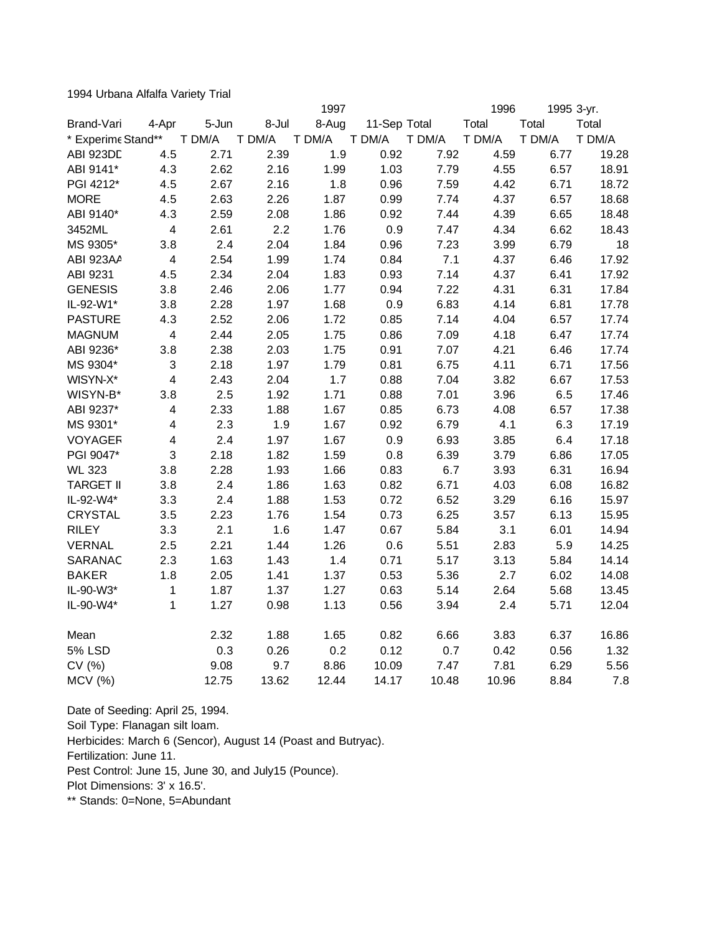1994 Urbana Alfalfa Variety Trial

|                    |                         |        |        | 1997   |              |        | 1996   | 1995 3-yr. |        |
|--------------------|-------------------------|--------|--------|--------|--------------|--------|--------|------------|--------|
| Brand-Vari         | 4-Apr                   | 5-Jun  | 8-Jul  | 8-Aug  | 11-Sep Total |        | Total  | Total      | Total  |
| * Experime Stand** |                         | T DM/A | T DM/A | T DM/A | T DM/A       | T DM/A | T DM/A | T DM/A     | T DM/A |
| ABI 923DD          | 4.5                     | 2.71   | 2.39   | 1.9    | 0.92         | 7.92   | 4.59   | 6.77       | 19.28  |
| ABI 9141*          | 4.3                     | 2.62   | 2.16   | 1.99   | 1.03         | 7.79   | 4.55   | 6.57       | 18.91  |
| PGI 4212*          | 4.5                     | 2.67   | 2.16   | 1.8    | 0.96         | 7.59   | 4.42   | 6.71       | 18.72  |
| <b>MORE</b>        | 4.5                     | 2.63   | 2.26   | 1.87   | 0.99         | 7.74   | 4.37   | 6.57       | 18.68  |
| ABI 9140*          | 4.3                     | 2.59   | 2.08   | 1.86   | 0.92         | 7.44   | 4.39   | 6.65       | 18.48  |
| 3452ML             | $\overline{\mathbf{4}}$ | 2.61   | 2.2    | 1.76   | 0.9          | 7.47   | 4.34   | 6.62       | 18.43  |
| MS 9305*           | 3.8                     | 2.4    | 2.04   | 1.84   | 0.96         | 7.23   | 3.99   | 6.79       | 18     |
| ABI 923AA          | $\overline{\mathbf{4}}$ | 2.54   | 1.99   | 1.74   | 0.84         | 7.1    | 4.37   | 6.46       | 17.92  |
| ABI 9231           | 4.5                     | 2.34   | 2.04   | 1.83   | 0.93         | 7.14   | 4.37   | 6.41       | 17.92  |
| <b>GENESIS</b>     | 3.8                     | 2.46   | 2.06   | 1.77   | 0.94         | 7.22   | 4.31   | 6.31       | 17.84  |
| IL-92-W1*          | 3.8                     | 2.28   | 1.97   | 1.68   | 0.9          | 6.83   | 4.14   | 6.81       | 17.78  |
| <b>PASTURE</b>     | 4.3                     | 2.52   | 2.06   | 1.72   | 0.85         | 7.14   | 4.04   | 6.57       | 17.74  |
| <b>MAGNUM</b>      | $\overline{\mathbf{4}}$ | 2.44   | 2.05   | 1.75   | 0.86         | 7.09   | 4.18   | 6.47       | 17.74  |
| ABI 9236*          | 3.8                     | 2.38   | 2.03   | 1.75   | 0.91         | 7.07   | 4.21   | 6.46       | 17.74  |
| MS 9304*           | 3                       | 2.18   | 1.97   | 1.79   | 0.81         | 6.75   | 4.11   | 6.71       | 17.56  |
| WISYN-X*           | $\overline{\mathbf{4}}$ | 2.43   | 2.04   | 1.7    | 0.88         | 7.04   | 3.82   | 6.67       | 17.53  |
| WISYN-B*           | 3.8                     | 2.5    | 1.92   | 1.71   | 0.88         | 7.01   | 3.96   | 6.5        | 17.46  |
| ABI 9237*          | $\overline{\mathbf{4}}$ | 2.33   | 1.88   | 1.67   | 0.85         | 6.73   | 4.08   | 6.57       | 17.38  |
| MS 9301*           | $\overline{\mathbf{4}}$ | 2.3    | 1.9    | 1.67   | 0.92         | 6.79   | 4.1    | 6.3        | 17.19  |
| <b>VOYAGER</b>     | $\overline{\mathbf{4}}$ | 2.4    | 1.97   | 1.67   | 0.9          | 6.93   | 3.85   | 6.4        | 17.18  |
| PGI 9047*          | 3                       | 2.18   | 1.82   | 1.59   | 0.8          | 6.39   | 3.79   | 6.86       | 17.05  |
| <b>WL 323</b>      | 3.8                     | 2.28   | 1.93   | 1.66   | 0.83         | 6.7    | 3.93   | 6.31       | 16.94  |
| <b>TARGET II</b>   | 3.8                     | 2.4    | 1.86   | 1.63   | 0.82         | 6.71   | 4.03   | 6.08       | 16.82  |
| IL-92-W4*          | 3.3                     | 2.4    | 1.88   | 1.53   | 0.72         | 6.52   | 3.29   | 6.16       | 15.97  |
| <b>CRYSTAL</b>     | 3.5                     | 2.23   | 1.76   | 1.54   | 0.73         | 6.25   | 3.57   | 6.13       | 15.95  |
| <b>RILEY</b>       | 3.3                     | 2.1    | 1.6    | 1.47   | 0.67         | 5.84   | 3.1    | 6.01       | 14.94  |
| <b>VERNAL</b>      | 2.5                     | 2.21   | 1.44   | 1.26   | 0.6          | 5.51   | 2.83   | 5.9        | 14.25  |
| SARANAC            | 2.3                     | 1.63   | 1.43   | 1.4    | 0.71         | 5.17   | 3.13   | 5.84       | 14.14  |
| <b>BAKER</b>       | 1.8                     | 2.05   | 1.41   | 1.37   | 0.53         | 5.36   | 2.7    | 6.02       | 14.08  |
| IL-90-W3*          | 1                       | 1.87   | 1.37   | 1.27   | 0.63         | 5.14   | 2.64   | 5.68       | 13.45  |
| IL-90-W4*          | 1                       | 1.27   | 0.98   | 1.13   | 0.56         | 3.94   | 2.4    | 5.71       | 12.04  |
| Mean               |                         | 2.32   | 1.88   | 1.65   | 0.82         | 6.66   | 3.83   | 6.37       | 16.86  |
| <b>5% LSD</b>      |                         | 0.3    | 0.26   | 0.2    | 0.12         | 0.7    | 0.42   | 0.56       | 1.32   |
| CV (%)             |                         | 9.08   | 9.7    | 8.86   | 10.09        | 7.47   | 7.81   | 6.29       | 5.56   |
| MCV (%)            |                         | 12.75  | 13.62  | 12.44  | 14.17        | 10.48  | 10.96  | 8.84       | 7.8    |

Date of Seeding: April 25, 1994.

Soil Type: Flanagan silt loam.

Herbicides: March 6 (Sencor), August 14 (Poast and Butryac).

Fertilization: June 11.

Pest Control: June 15, June 30, and July15 (Pounce).

Plot Dimensions: 3' x 16.5'.

\*\* Stands: 0=None, 5=Abundant